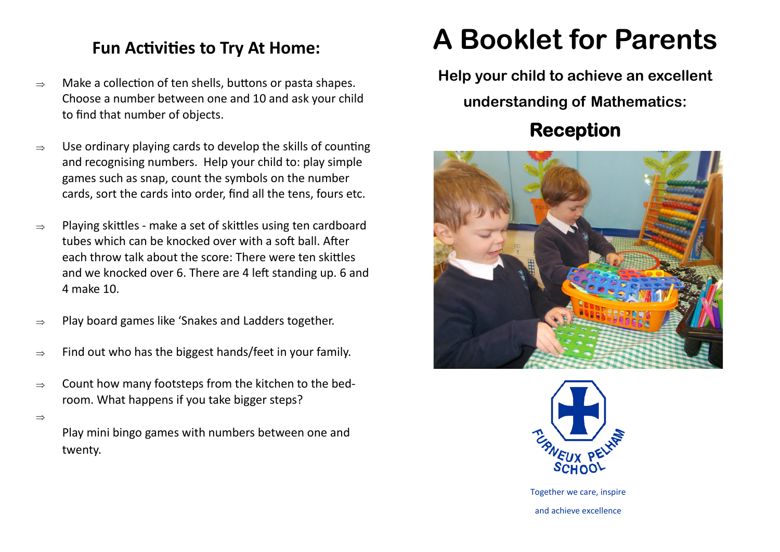### **Fun Activities to Try At Home:**

- $\Rightarrow$  Make a collection of ten shells, buttons or pasta shapes. Choose a number between one and 10 and ask your child to find that number of objects.
- $\Rightarrow$  Use ordinary playing cards to develop the skills of counting and recognising numbers. Help your child to: play simple games such as snap, count the symbols on the number cards, sort the cards into order, find all the tens, fours etc.
- $\Rightarrow$  Playing skittles make a set of skittles using ten cardboard tubes which can be knocked over with a soft ball. After each throw talk about the score: There were ten skittles and we knocked over 6. There are 4 left standing up. 6 and 4 make 10.
- $\Rightarrow$  Play board games like 'Snakes and Ladders together.
- $\Rightarrow$  Find out who has the biggest hands/feet in your family.
- $\Rightarrow$  Count how many footsteps from the kitchen to the bedroom. What happens if you take bigger steps?

 $\Rightarrow$ 

Play mini bingo games with numbers between one and twenty.

# **A Booklet for Parents**

**Help your child to achieve an excellent** 

**understanding of Mathematics:**

## **Reception**





Together we care, inspire and achieve excellence